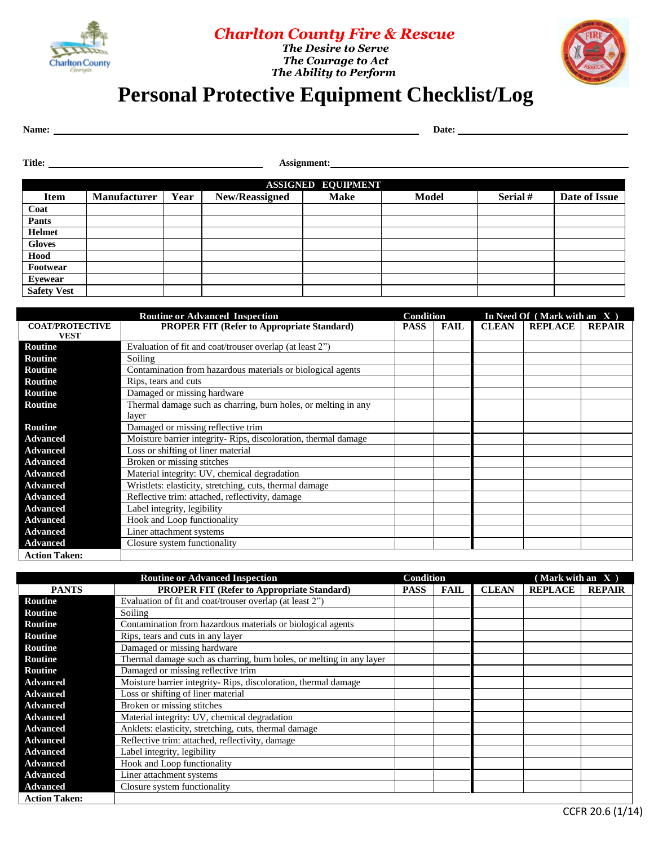

## *Charlton County Fire & Rescue The Desire to Serve*

*<u>Charlton County</u> The Courage to Act The Ability to Perform* 



## **Personal Protective Equipment Checklist/Log**

Name: Date: Date: Date: Date: Date: Date: Date: Date: Date: Date: Date: Date: Date: Date: Date: Date: Date: Date: Date: Date: Date: Date: Date: Date: Date: Date: Date: Date: Date: Date: Date: Date: Date: Date: Date: Date:

Title: **Assignment: Assignment: Assignment: Assignment: Assignment: Assignment: Assignment: Assignment: Assignment: Assignment: Assignment: Assignment: Assignment: Assignment: Assignment: Assi** 

| <b>ASSIGNED EQUIPMENT</b> |                     |      |                       |             |              |         |               |  |  |
|---------------------------|---------------------|------|-----------------------|-------------|--------------|---------|---------------|--|--|
| <b>Item</b>               | <b>Manufacturer</b> | Year | <b>New/Reassigned</b> | <b>Make</b> | <b>Model</b> | Serial# | Date of Issue |  |  |
| Coat                      |                     |      |                       |             |              |         |               |  |  |
| Pants                     |                     |      |                       |             |              |         |               |  |  |
| <b>Helmet</b>             |                     |      |                       |             |              |         |               |  |  |
| <b>Gloves</b>             |                     |      |                       |             |              |         |               |  |  |
| Hood                      |                     |      |                       |             |              |         |               |  |  |
| Footwear                  |                     |      |                       |             |              |         |               |  |  |
| <b>Eyewear</b>            |                     |      |                       |             |              |         |               |  |  |
| <b>Safety Vest</b>        |                     |      |                       |             |              |         |               |  |  |

|                                       | <b>Routine or Advanced Inspection</b>                          | <b>Condition</b> |             | In Need Of $(Mark with an X)$ |                |               |  |
|---------------------------------------|----------------------------------------------------------------|------------------|-------------|-------------------------------|----------------|---------------|--|
| <b>COAT/PROTECTIVE</b><br><b>VEST</b> | <b>PROPER FIT (Refer to Appropriate Standard)</b>              | <b>PASS</b>      | <b>FAIL</b> | <b>CLEAN</b>                  | <b>REPLACE</b> | <b>REPAIR</b> |  |
| <b>Routine</b>                        | Evaluation of fit and coat/trouser overlap (at least 2")       |                  |             |                               |                |               |  |
| <b>Routine</b>                        | Soiling                                                        |                  |             |                               |                |               |  |
| Routine                               | Contamination from hazardous materials or biological agents    |                  |             |                               |                |               |  |
| <b>Routine</b>                        | Rips, tears and cuts                                           |                  |             |                               |                |               |  |
| <b>Routine</b>                        | Damaged or missing hardware                                    |                  |             |                               |                |               |  |
| <b>Routine</b>                        | Thermal damage such as charring, burn holes, or melting in any |                  |             |                               |                |               |  |
|                                       | layer                                                          |                  |             |                               |                |               |  |
| <b>Routine</b>                        | Damaged or missing reflective trim                             |                  |             |                               |                |               |  |
| <b>Advanced</b>                       | Moisture barrier integrity-Rips, discoloration, thermal damage |                  |             |                               |                |               |  |
| <b>Advanced</b>                       | Loss or shifting of liner material                             |                  |             |                               |                |               |  |
| <b>Advanced</b>                       | Broken or missing stitches                                     |                  |             |                               |                |               |  |
| <b>Advanced</b>                       | Material integrity: UV, chemical degradation                   |                  |             |                               |                |               |  |
| <b>Advanced</b>                       | Wristlets: elasticity, stretching, cuts, thermal damage        |                  |             |                               |                |               |  |
| <b>Advanced</b>                       | Reflective trim: attached, reflectivity, damage                |                  |             |                               |                |               |  |
| <b>Advanced</b>                       | Label integrity, legibility                                    |                  |             |                               |                |               |  |
| <b>Advanced</b>                       | Hook and Loop functionality                                    |                  |             |                               |                |               |  |
| <b>Advanced</b>                       | Liner attachment systems                                       |                  |             |                               |                |               |  |
| <b>Advanced</b>                       | Closure system functionality                                   |                  |             |                               |                |               |  |
| <b>Action Taken:</b>                  |                                                                |                  |             |                               |                |               |  |

|                      | <b>Routine or Advanced Inspection</b>                                | <b>Condition</b> |             |              | (Mark with an X) |               |
|----------------------|----------------------------------------------------------------------|------------------|-------------|--------------|------------------|---------------|
| <b>PANTS</b>         | <b>PROPER FIT (Refer to Appropriate Standard)</b>                    | <b>PASS</b>      | <b>FAIL</b> | <b>CLEAN</b> | <b>REPLACE</b>   | <b>REPAIR</b> |
| Routine              | Evaluation of fit and coat/trouser overlap (at least 2")             |                  |             |              |                  |               |
| <b>Routine</b>       | Soiling                                                              |                  |             |              |                  |               |
| <b>Routine</b>       | Contamination from hazardous materials or biological agents          |                  |             |              |                  |               |
| <b>Routine</b>       | Rips, tears and cuts in any layer                                    |                  |             |              |                  |               |
| <b>Routine</b>       | Damaged or missing hardware                                          |                  |             |              |                  |               |
| <b>Routine</b>       | Thermal damage such as charring, burn holes, or melting in any layer |                  |             |              |                  |               |
| <b>Routine</b>       | Damaged or missing reflective trim                                   |                  |             |              |                  |               |
| <b>Advanced</b>      | Moisture barrier integrity- Rips, discoloration, thermal damage      |                  |             |              |                  |               |
| <b>Advanced</b>      | Loss or shifting of liner material                                   |                  |             |              |                  |               |
| <b>Advanced</b>      | Broken or missing stitches                                           |                  |             |              |                  |               |
| <b>Advanced</b>      | Material integrity: UV, chemical degradation                         |                  |             |              |                  |               |
| <b>Advanced</b>      | Anklets: elasticity, stretching, cuts, thermal damage                |                  |             |              |                  |               |
| <b>Advanced</b>      | Reflective trim: attached, reflectivity, damage                      |                  |             |              |                  |               |
| <b>Advanced</b>      | Label integrity, legibility                                          |                  |             |              |                  |               |
| <b>Advanced</b>      | Hook and Loop functionality                                          |                  |             |              |                  |               |
| <b>Advanced</b>      | Liner attachment systems                                             |                  |             |              |                  |               |
| <b>Advanced</b>      | Closure system functionality                                         |                  |             |              |                  |               |
| <b>Action Taken:</b> |                                                                      |                  |             |              |                  |               |